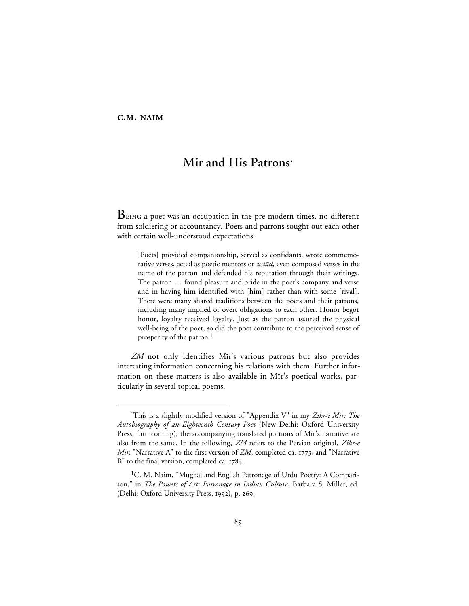## C.M. NAIM

# **Mir and His Patrons\***

**B** EING a poet was an occupation in the pre-modern times, no different from soldiering or accountancy. Poets and patrons sought out each other with certain well-understood expectations.

[Poets] provided companionship, served as confidants, wrote commemorative verses, acted as poetic mentors or *ustād*, even composed verses in the name of the patron and defended his reputation through their writings. The patron … found pleasure and pride in the poet's company and verse and in having him identified with [him] rather than with some [rival]. There were many shared traditions between the poets and their patrons, including many implied or overt obligations to each other. Honor begot honor, loyalty received loyalty. Just as the patron assured the physical well-being of the poet, so did the poet contribute to the perceived sense of prosperity of the patron.<sup>1</sup>

ZM not only identifies Mir's various patrons but also provides interesting information concerning his relations with them. Further information on these matters is also available in Mir's poetical works, particularly in several topical poems.

 <sup>\*</sup>This is a slightly modified version of "Appendix V" in my *Zikr-i Mir: The Autobiography of an Eighteenth Century Poet* (New Delhi: Oxford University Press, forthcoming); the accompanying translated portions of Mir's narrative are also from the same. In the following, *ZM* refers to the Persian original, *Zikr-e Mir*; "Narrative A" to the first version of *ZM*, completed ca. 1773, and "Narrative  $B''$  to the final version, completed ca.  $1784$ .

<sup>&</sup>lt;sup>1</sup>C. M. Naim, "Mughal and English Patronage of Urdu Poetry: A Comparison," in *The Powers of Art: Patronage in Indian Culture*, Barbara S. Miller, ed. (Delhi: Oxford University Press, 1992), p. 269.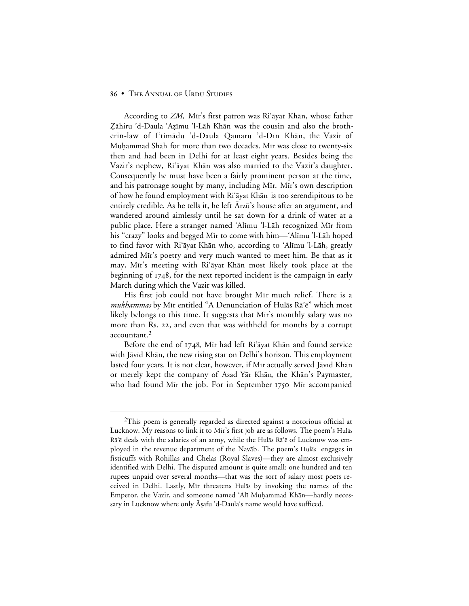According to *ZM*, Mīr's first patron was Ri'āyat Khān, whose father Zāhiru 'd-Daula 'Azīmu 'l-Lāh Khān was the cousin and also the brotherin-law of I'timādu 'd-Daula Qamaru 'd-Dīn Khān, the Vazir of Muhammad Shāh for more than two decades. Mir was close to twenty-six then and had been in Delhi for at least eight years. Besides being the Vazir's nephew, Ri'āyat Khān was also married to the Vazir's daughter. Consequently he must have been a fairly prominent person at the time, and his patronage sought by many, including Mir. Mir's own description of how he found employment with Ri'ayat Khan is too serendipitous to be entirely credible. As he tells it, he left Arzū's house after an argument, and wandered around aimlessly until he sat down for a drink of water at a public place. Here a stranger named 'Alīmu 'l-Lāh recognized Mīr from his "crazy" looks and begged Mir to come with him—'Alīmu 'l-Lāh hoped to find favor with Ri'āyat Khān who, according to 'Alīmu 'l-Lāh, greatly admired Mir's poetry and very much wanted to meet him. Be that as it may, Mīr's meeting with Ri'āyat Khān most likely took place at the beginning of 1748, for the next reported incident is the campaign in early March during which the Vazir was killed.

His first job could not have brought M<sub>I</sub>r much relief. There is a *mukhammas* by Mīr entitled "A Denunciation of Hulās Rā'ē" which most likely belongs to this time. It suggests that Mir's monthly salary was no more than Rs. 22, and even that was withheld for months by a corrupt accountant.2

Before the end of 1748, Mīr had left Ri'āyat Khān and found service with Jāvīd Khān, the new rising star on Delhi's horizon. This employment lasted four years. It is not clear, however, if Mīr actually served Jāvīd Khān or merely kept the company of Asad Yar Khan, the Khan's Paymaster, who had found Mir the job. For in September 1750 Mir accompanied

<sup>&</sup>lt;sup>2</sup>This poem is generally regarded as directed against a notorious official at Lucknow. My reasons to link it to Mīr's first job are as follows. The poem's Hulās Ra'e deals with the salaries of an army, while the Hulas Ra'e of Lucknow was employed in the revenue department of the Navāb. The poem's Hulās engages in fisticuffs with Rohillas and Chelas (Royal Slaves)—they are almost exclusively identified with Delhi. The disputed amount is quite small: one hundred and ten rupees unpaid over several months—that was the sort of salary most poets received in Delhi. Lastly, Mir threatens Hulas by invoking the names of the Emperor, the Vazir, and someone named 'Alī Muḥammad Khān—hardly necessary in Lucknow where only Aṣafu 'd-Daula's name would have sufficed.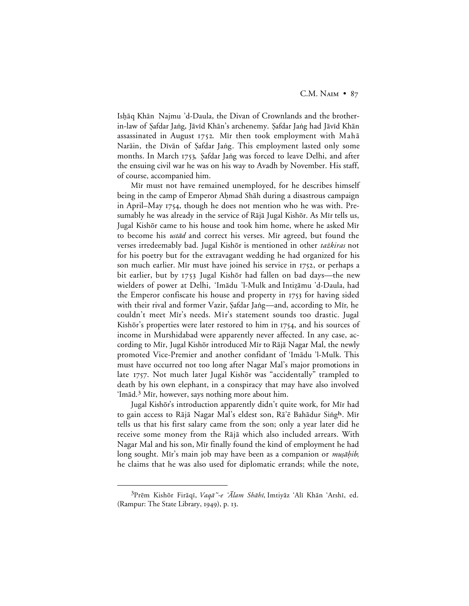Ishāq Khān Najmu 'd-Daula, the Divan of Crownlands and the brotherin-law of Şafdar Jaṅg, Jāvīd Khān's archenemy. Şafdar Jaṅg had Jāvīd Khān assassinated in August 1752. Mir then took employment with Mah $\bar{a}$ Narāin, the Dīvān of Şafdar Jang. This employment lasted only some months. In March 1753, Safdar Jang was forced to leave Delhi, and after the ensuing civil war he was on his way to Avadh by November. His staff, of course, accompanied him.

Mir must not have remained unemployed, for he describes himself being in the camp of Emperor Ahmad Shāh during a disastrous campaign in April–May 1754, though he does not mention who he was with. Presumably he was already in the service of Rājā Jugal Kishōr. As Mīr tells us, Jugal Kishōr came to his house and took him home, where he asked Mīr to become his *ustad* and correct his verses. Mir agreed, but found the verses irredeemably bad. Jugal Kishōr is mentioned in other tażkiras not for his poetry but for the extravagant wedding he had organized for his son much earlier. Mir must have joined his service in 1752, or perhaps a bit earlier, but by 1753 Jugal Kishōr had fallen on bad days—the new wielders of power at Delhi, 'Imādu 'l-Mulk and Intizāmu 'd-Daula, had the Emperor confiscate his house and property in 1753 for having sided with their rival and former Vazir, Şafdar Jang—and, according to Mīr, he couldn't meet Mīr's needs. Mīr's statement sounds too drastic. Jugal Kishōr's properties were later restored to him in  $1754$ , and his sources of income in Murshidabad were apparently never affected. In any case, according to Mīr, Jugal Kishōr introduced Mīr to Rājā Nagar Mal, the newly promoted Vice-Premier and another confidant of 'Imādu 'l-Mulk. This must have occurred not too long after Nagar Mal's major promotions in late 1757. Not much later Jugal Kishōr was "accidentally" trampled to death by his own elephant, in a conspiracy that may have also involved 'Imād.<sup>3</sup> Mīr, however, says nothing more about him.

Jugal Kishōr's introduction apparently didn't quite work, for Mīr had to gain access to Rājā Nagar Mal's eldest son, Rā'ē Bahādur Singh. Mīr tells us that his first salary came from the son; only a year later did he receive some money from the Rājā which also included arrears. With Nagar Mal and his son, Mµr finally found the kind of employment he had long sought. Mīr's main job may have been as a companion or *muṣāḥib*; he claims that he was also used for diplomatic errands; while the note,

<sup>&</sup>lt;sup>3</sup>Prēm Kishōr Firāqī, Vaqā"-e 'Ālam Shāhī, Imtiyāz 'Alī Khān 'Arshī, ed. (Rampur: The State Library,  $1949$ ), p. 13.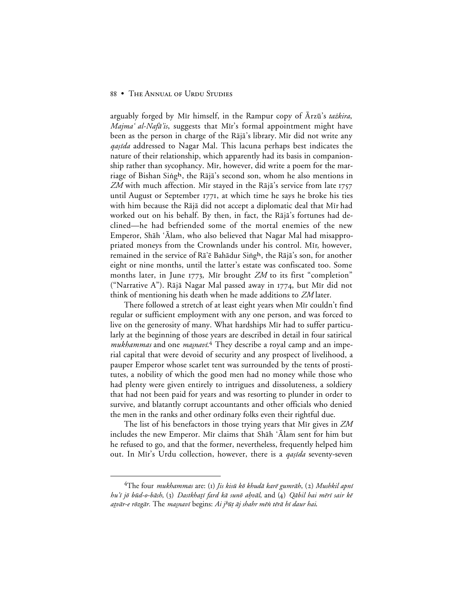arguably forged by Mir himself, in the Rampur copy of Arzū's tażkira, Majma' al-Nafā'is, suggests that Mir's formal appointment might have been as the person in charge of the Rājā's library. Mīr did not write any *qaṣīda* addressed to Nagar Mal. This lacuna perhaps best indicates the nature of their relationship, which apparently had its basis in companionship rather than sycophancy. Mir, however, did write a poem for the marriage of Bishan Singh, the Rājā's second son, whom he also mentions in  $ZM$  with much affection. Mir stayed in the Raja's service from late 1757 until August or September  $1771$ , at which time he says he broke his ties with him because the Rājā did not accept a diplomatic deal that Mīr had worked out on his behalf. By then, in fact, the Raja's fortunes had declined—he had befriended some of the mortal enemies of the new Emperor, Shāh 'Alam, who also believed that Nagar Mal had misappropriated moneys from the Crownlands under his control. Mir, however, remained in the service of Rā'ē Bahādur Singh, the Rājā's son, for another eight or nine months, until the latter's estate was confiscated too. Some months later, in June 1773, Mir brought *ZM* to its first "completion" ("Narrative A"). Rājā Nagar Mal passed away in 1774, but Mīr did not think of mentioning his death when he made additions to *ZM* later.

There followed a stretch of at least eight years when Mir couldn't find regular or sufficient employment with any one person, and was forced to live on the generosity of many. What hardships M<sub>I</sub> had to suffer particularly at the beginning of those years are described in detail in four satirical mukhammas and one masnavi.<sup>4</sup> They describe a royal camp and an imperial capital that were devoid of security and any prospect of livelihood, a pauper Emperor whose scarlet tent was surrounded by the tents of prostitutes, a nobility of which the good men had no money while those who had plenty were given entirely to intrigues and dissoluteness, a soldiery that had not been paid for years and was resorting to plunder in order to survive, and blatantly corrupt accountants and other officials who denied the men in the ranks and other ordinary folks even their rightful due.

The list of his benefactors in those trying years that Mir gives in ZM includes the new Emperor. Mir claims that Shah 'Alam sent for him but he refused to go, and that the former, nevertheless, frequently helped him out. In Mir's Urdu collection, however, there is a *qașida* seventy-seven

<sup>&</sup>lt;sup>4</sup>The four *mukhammas* are: (1) *Jis kisū kō khudā karē gumrāh*, (2) Mushkil apnī hu'i jō būd-o-bāsh, (3) Dastkhaṭī fard kā sunō aḥvāl, and (4) Qābil hai mērī sair kē atvār-e rōzgār. The *masnavī* begins: Ai j<sup>h</sup>ūț āj shahr mēn tērā hī daur hai.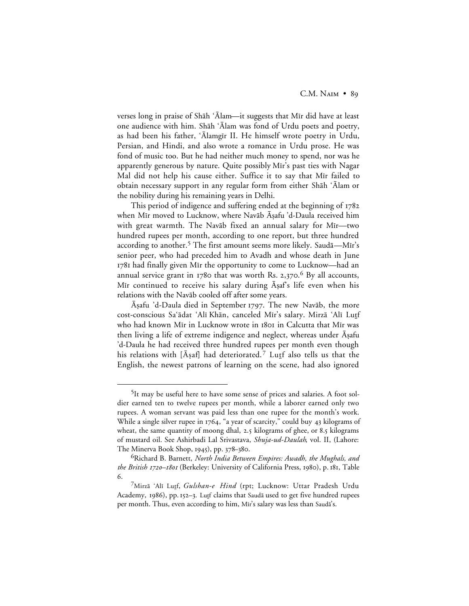verses long in praise of Shāh 'Alam—it suggests that Mīr did have at least one audience with him. Shāh 'Ālam was fond of Urdu poets and poetry, as had been his father, 'Alamgir II. He himself wrote poetry in Urdu, Persian, and Hindi, and also wrote a romance in Urdu prose. He was fond of music too. But he had neither much money to spend, nor was he apparently generous by nature. Quite possibly Mīr's past ties with Nagar Mal did not help his cause either. Suffice it to say that Mir failed to obtain necessary support in any regular form from either Shāh 'Ālam or the nobility during his remaining years in Delhi.

This period of indigence and suffering ended at the beginning of when Mīr moved to Lucknow, where Navāb Āsafu 'd-Daula received him with great warmth. The Navāb fixed an annual salary for Mīr—two hundred rupees per month, according to one report, but three hundred according to another.<sup>5</sup> The first amount seems more likely. Saudā—Mīr's senior peer, who had preceded him to Avadh and whose death in June 1781 had finally given Mīr the opportunity to come to Lucknow-had an annual service grant in  $1780$  that was worth Rs. 2,370.<sup>6</sup> By all accounts, Mir continued to receive his salary during Asaf's life even when his relations with the Navāb cooled off after some years.

Āṣafu 'd-Daula died in September 1797. The new Navāb, the more cost-conscious Sa'ādat 'Alī Khān, canceled Mīr's salary. Mirzā 'Alī Lutf who had known Mir in Lucknow wrote in 1801 in Calcutta that Mir was then living a life of extreme indigence and neglect, whereas under Aṣafu 'd-Daula he had received three hundred rupees per month even though his relations with [ $\bar{A}$ saf] had deteriorated.<sup>7</sup> Lutt also tells us that the English, the newest patrons of learning on the scene, had also ignored

 <sup>5</sup>It may be useful here to have some sense of prices and salaries. A foot soldier earned ten to twelve rupees per month, while a laborer earned only two rupees. A woman servant was paid less than one rupee for the month's work. While a single silver rupee in 1764, "a year of scarcity," could buy 43 kilograms of wheat, the same quantity of moong dhal, 2.5 kilograms of ghee, or 8.5 kilograms of mustard oil. See Ashirbadi Lal Srivastava, *Shuja-ud-Daulah*, vol. II, (Lahore: The Minerva Book Shop, 1945), pp. 378–380.

<sup>6</sup>Richard B. Barnett, *North India Between Empires: Awadh, the Mughals, and the British 1720-1801* (Berkeley: University of California Press, 1980), p. 181, Table 6.

<sup>&</sup>lt;sup>7</sup>Mirzā ʿAlī Lutf, *Gulshan-e Hind* (rpt; Lucknow: Uttar Pradesh Urdu Academy, 1986), pp. 152–3. Lutt claims that Saudā used to get five hundred rupees per month. Thus, even according to him, Mīr's salary was less than Saudā's.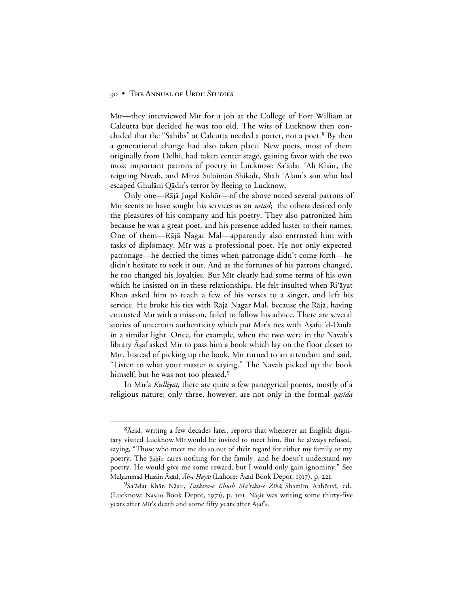Mir—they interviewed Mir for a job at the College of Fort William at Calcutta but decided he was too old. The wits of Lucknow then concluded that the "Sahibs" at Calcutta needed a porter, not a poet.<sup>8</sup> By then a generational change had also taken place. New poets, most of them originally from Delhi, had taken center stage, gaining favor with the two most important patrons of poetry in Lucknow: Sa'ādat 'Alī Khān, the reigning Navāb, and Mirzā Sulaimān Shikōh, Shāh 'Alam's son who had escaped Ghulām Qādir's terror by fleeing to Lucknow.

Only one—Rājā Jugal Kishōr—of the above noted several patrons of Mir seems to have sought his services as an *ustād*; the others desired only the pleasures of his company and his poetry. They also patronized him because he was a great poet, and his presence added luster to their names. One of them—Rājā Nagar Mal—apparently also entrusted him with tasks of diplomacy. Mir was a professional poet. He not only expected patronage—he decried the times when patronage didn't come forth—he didn't hesitate to seek it out. And as the fortunes of his patrons changed, he too changed his loyalties. But Mir clearly had some terms of his own which he insisted on in these relationships. He felt insulted when Ri'ayat Khān asked him to teach a few of his verses to a singer, and left his service. He broke his ties with Rājā Nagar Mal, because the Rājā, having entrusted Mir with a mission, failed to follow his advice. There are several stories of uncertain authenticity which put Mīr's ties with Aşafu 'd-Daula in a similar light. Once, for example, when the two were in the Navāb's library Aṣaf asked Mīr to pass him a book which lay on the floor closer to M<sub>I</sub> Instead of picking up the book, M<sub>I</sub> turned to an attendant and said, "Listen to what your master is saying." The Navāb picked up the book himself, but he was not too pleased.<sup>9</sup>

In Mir's Kulliyat, there are quite a few panegyrical poems, mostly of a religious nature; only three, however, are not only in the formal *qașida* 

 $8\bar{A}z\bar{a}d$ , writing a few decades later, reports that whenever an English dignitary visited Lucknow M<sub>I</sub> would be invited to meet him. But he always refused, saying, "Those who meet me do so out of their regard for either my family or my poetry. The §āḥib cares nothing for the family, and he doesn't understand my poetry. He would give me some reward, but I would only gain ignominy." See Muḥammad Ḥusain Āzād, *Āb-e Ḥayāt* (Lahore: Āzād Book Depot, 1917), p. 221.

<sup>&</sup>lt;sup>9</sup>Sa'ādat Khān Nāṣir, *Tażkira-e Khush Ma'rika-e Zībā*, Shamīm Anhōnvī, ed. (Lucknow: Nasim Book Depot, 1971), p. 101. Nāṣir was writing some thirty-five years after Mīr's death and some fifty years after Āṣaf's.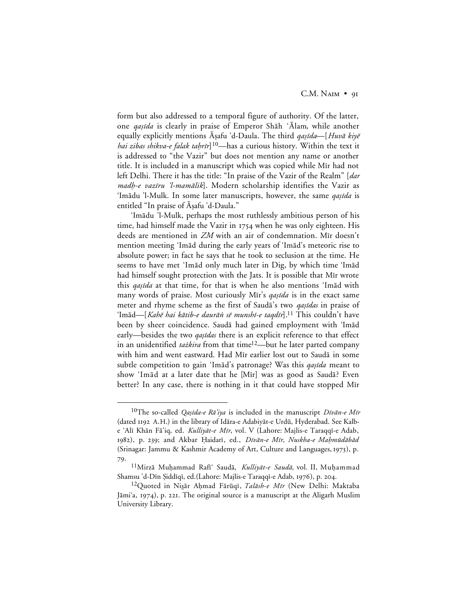form but also addressed to a temporal figure of authority. Of the latter, one *qaṣīda* is clearly in praise of Emperor Shāh 'Ālam, while another equally explicitly mentions Āṣafu 'd-Daula. The third *qaṣīda*—[Huvā kiyē *hai zibas shikva-e falak taḥrīr*]<sup>10</sup>—has a curious history. Within the text it is addressed to "the Vazir" but does not mention any name or another title. It is included in a manuscript which was copied while Mir had not left Delhi. There it has the title: "In praise of the Vazir of the Realm" [dar madh-e vazīru 'l-mamālik]. Modern scholarship identifies the Vazir as 'Imādu 'l-Mulk. In some later manuscripts, however, the same *qaṣīda* is entitled "In praise of Āṣafu 'd-Daula."

'Im≥du 'l-Mulk, perhaps the most ruthlessly ambitious person of his time, had himself made the Vazir in  $1754$  when he was only eighteen. His deeds are mentioned in ZM with an air of condemnation. Mir doesn't mention meeting 'Imād during the early years of 'Imād's meteoric rise to absolute power; in fact he says that he took to seclusion at the time. He seems to have met 'Imād only much later in Dig, by which time 'Imād had himself sought protection with the Jats. It is possible that Mir wrote this qașīda at that time, for that is when he also mentions 'Imād with many words of praise. Most curiously Mīr's *qaṣīda* is in the exact same meter and rhyme scheme as the first of Sauda's two *qaṣīdas* in praise of 'Imād—[Kahē hai kātib-e daurān sē munshī-e taqdīr].<sup>11</sup> This couldn't have been by sheer coincidence. Saudā had gained employment with 'Imād early—besides the two *qaṣīdas* there is an explicit reference to that effect in an unidentified tażkira from that time<sup>12</sup>—but he later parted company with him and went eastward. Had Mīr earlier lost out to Saudā in some subtle competition to gain 'Imād's patronage? Was this *qaṣīda* meant to show 'Imād at a later date that he [Mīr] was as good as Saudā? Even better? In any case, there is nothing in it that could have stopped Mir

<sup>&</sup>lt;sup>10</sup>The so-called *Qaşīda-e Rā'iya* is included in the manuscript *Dīvān-e Mīr* (dated 1192 A.H.) in the library of Idāra-e Adabiyāt-e Urdū, Hyderabad. See Kalbe 'Alī Khān Fā'iq, ed. Kulliyāt-e Mīr, vol. V (Lahore: Majlis-e Taraqqī-e Adab, 1982), p. 239; and Akbar Ḥaidarī, ed., *Dīvān-e Mīr, Nuskha-e Maḥmūdābād* (Srinagar: Jammu & Kashmir Academy of Art, Culture and Languages, 1973), p. 79.

<sup>&</sup>lt;sup>11</sup>Mirzā Muḥammad Rafī' Saudā, Kulliyāt-e Saudā, vol. II, Muḥammad Shamsu 'd-Dīn Șiddīqī, ed.(Lahore: Majlis-e Taraqqī-e Adab, 1976), p. 204.

<sup>&</sup>lt;sup>12</sup>Quoted in Nişār Aḥmad Fārūqī, *Talāsh-e Mīr* (New Delhi: Maktaba Jāmiʿa, 1974), p. 221. The original source is a manuscript at the Aligarh Muslim University Library.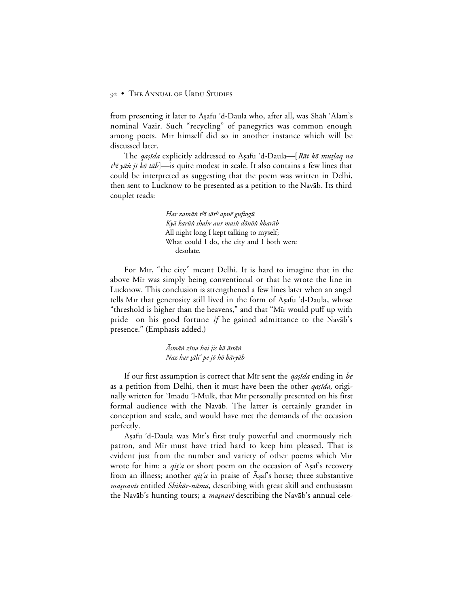from presenting it later to Aṣafu 'd-Daula who, after all, was Shāh 'Alam's nominal Vazir. Such "recycling" of panegyrics was common enough among poets. Mir himself did so in another instance which will be discussed later.

The *qaṣīda* explicitly addressed to Āṣafu 'd-Daula—[Rāt kō muṭlaq na  $t^{h}$  yān jī kā tāb]—is quite modest in scale. It also contains a few lines that could be interpreted as suggesting that the poem was written in Delhi, then sent to Lucknow to be presented as a petition to the Navab. Its third couplet reads:

> Har zamān t<sup>h</sup>ī sāt<sup>h</sup> apnē guftogū Kyā karūn shahr aur main dōnōn kharāb All night long I kept talking to myself; What could I do, the city and I both were desolate.

For Mīr, "the city" meant Delhi. It is hard to imagine that in the above Mir was simply being conventional or that he wrote the line in Lucknow. This conclusion is strengthened a few lines later when an angel tells Mīr that generosity still lived in the form of Āṣafu 'd-Daula, whose "threshold is higher than the heavens," and that "Mir would puff up with pride on his good fortune *if* he gained admittance to the Navab's presence." (Emphasis added.)

> Āsmāṅ zīna hai jis kā āstāṅ Naz kar tāli' pe jō hō bāryāb

If our first assumption is correct that M<sub>I</sub>r sent the *qasida* ending in *be* as a petition from Delhi, then it must have been the other *qaṣīda*, originally written for 'Imādu 'l-Mulk, that Mīr personally presented on his first formal audience with the Navab. The latter is certainly grander in conception and scale, and would have met the demands of the occasion perfectly.

Asafu 'd-Daula was Mir's first truly powerful and enormously rich patron, and Mir must have tried hard to keep him pleased. That is evident just from the number and variety of other poems which Mir wrote for him: a qit'a or short poem on the occasion of  $\bar{A}$ saf's recovery from an illness; another  $qit\acute{a}$  in praise of  $\bar{A}$ saf's horse; three substantive masnavīs entitled *Shikār-nāma*, describing with great skill and enthusiasm the Navāb's hunting tours; a *masnavī* describing the Navāb's annual cele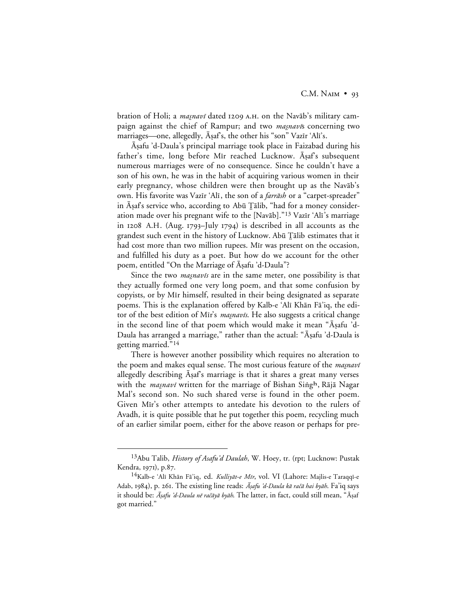bration of Holi; a *masnavi* dated 1209 A.H. on the Navāb's military campaign against the chief of Rampur; and two *masnavis* concerning two marriages—one, allegedly, Asaf's, the other his "son" Vazīr 'Alī's.

Asafu 'd-Daula's principal marriage took place in Faizabad during his father's time, long before Mīr reached Lucknow. Āṣaf's subsequent numerous marriages were of no consequence. Since he couldn't have a son of his own, he was in the habit of acquiring various women in their early pregnancy, whose children were then brought up as the Navab's own. His favorite was Vazīr 'Alī, the son of a *farrāsh* or a "carpet-spreader" in Āṣaf's service who, according to Abū Ţālib, "had for a money consideration made over his pregnant wife to the [Navāb]."<sup>13</sup> Vazīr 'Alī's marriage in 1208 A.H. (Aug. 1793-July 1794) is described in all accounts as the grandest such event in the history of Lucknow. Abū Ţālib estimates that it had cost more than two million rupees. Mir was present on the occasion, and fulfilled his duty as a poet. But how do we account for the other poem, entitled "On the Marriage of Aşafu 'd-Daula"?

Since the two *masnavis* are in the same meter, one possibility is that they actually formed one very long poem, and that some confusion by copyists, or by Mir himself, resulted in their being designated as separate poems. This is the explanation offered by Kalb-e 'Alī Khān Fā'iq, the editor of the best edition of Mīr's *masnavis*. He also suggests a critical change in the second line of that poem which would make it mean "Asafu 'd-Daula has arranged a marriage," rather than the actual: "Āṣafu 'd-Daula is getting married."14

There is however another possibility which requires no alteration to the poem and makes equal sense. The most curious feature of the *masnavi* allegedly describing Aṣaf's marriage is that it shares a great many verses with the *maşnavī* written for the marriage of Bishan Singh, Rājā Nagar Mal's second son. No such shared verse is found in the other poem. Given Mir's other attempts to antedate his devotion to the rulers of Avadh, it is quite possible that he put together this poem, recycling much of an earlier similar poem, either for the above reason or perhaps for pre-

 <sup>13</sup>Abu Talib, *History of Asafu'd Daulah*, W. Hoey, tr. (rpt; Lucknow: Pustak Kendra, 1971), p.87.

<sup>&</sup>lt;sup>14</sup>Kalb-e 'Alī Khān Fā'iq, ed. *Kulliyāt-e Mīr*, vol. VI (Lahore: Majlis-e Taraqqī-e Adab, 1984), p. 261. The existing line reads: *Āṣafu 'd-Daula kā račā hai byāh*. Fa'iq says it should be: *Āṣafu 'd-Daula nē račāyā byāh*. The latter, in fact, could still mean, "Āṣaf got married."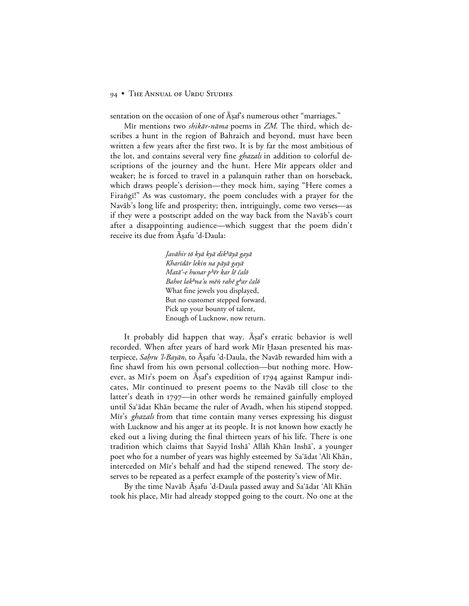sentation on the occasion of one of Asaf's numerous other "marriages."

Mīr mentions two *shikār-nāma* poems in *ZM*. The third, which describes a hunt in the region of Bahraich and beyond, must have been written a few years after the first two. It is by far the most ambitious of the lot, and contains several very fine *ghazals* in addition to colorful descriptions of the journey and the hunt. Here Mir appears older and weaker; he is forced to travel in a palanquin rather than on horseback, which draws people's derision—they mock him, saying "Here comes a Firangi!" As was customary, the poem concludes with a prayer for the Navāb's long life and prosperity; then, intriguingly, come two verses—as if they were a postscript added on the way back from the Navab's court after a disappointing audience—which suggest that the poem didn't receive its due from Āṣafu 'd-Daula:

> Javāhir tō kyā kyā dik<sup>h</sup>āyā gayā Kharīdār lekin na pāyā gayā Matā'-e hunar p<sup>h</sup>ēr kar lē čalō Bahot lak<sup>h</sup>na'u mēn rahē g<sup>h</sup>ar čalō What fine jewels you displayed, But no customer stepped forward. Pick up your bounty of talent, Enough of Lucknow, now return.

It probably did happen that way. Asaf's erratic behavior is well recorded. When after years of hard work Mir Hasan presented his masterpiece, Sahru 'l-Bayān, to Aşafu 'd-Daula, the Navāb rewarded him with a fine shawl from his own personal collection—but nothing more. However, as Mīr's poem on Aşaf's expedition of 1794 against Rampur indicates, Mir continued to present poems to the Navab till close to the latter's death in 1797—in other words he remained gainfully employed until Sa'ādat Khān became the ruler of Avadh, when his stipend stopped. Mir's *ghazals* from that time contain many verses expressing his disgust with Lucknow and his anger at its people. It is not known how exactly he eked out a living during the final thirteen years of his life. There is one tradition which claims that Sayyid Insha' Allāh Khān Inshā', a younger poet who for a number of years was highly esteemed by Sa'ādat 'Alī Khān, interceded on Mir's behalf and had the stipend renewed. The story deserves to be repeated as a perfect example of the posterity's view of Mir.

By the time Navāb Aşafu 'd-Daula passed away and Sa'ādat 'Alī Khān took his place, Mir had already stopped going to the court. No one at the